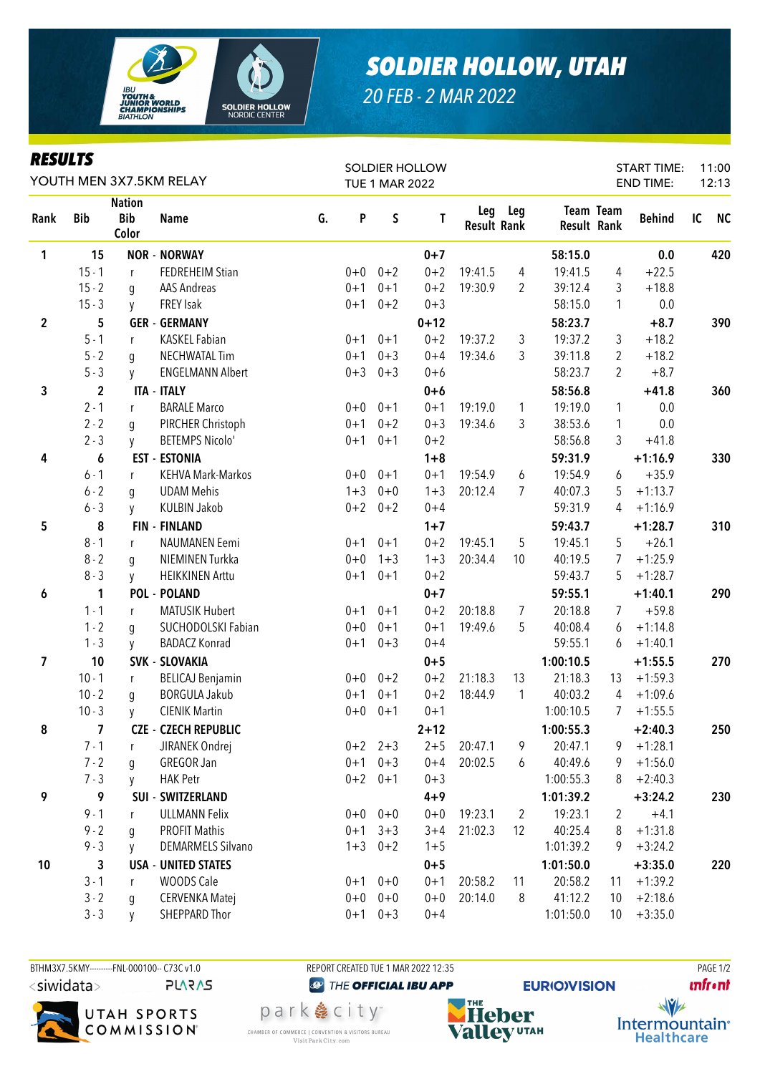

## *SOLDIER HOLLOW, UTAH*

*20 FEB - 2 MAR 2022*

| <b>RESULTS</b>          |              |                                      |                             |    |                       |             | <b>SOLDIER HOLLOW</b> |                    |                |                    |                  | <b>START TIME:</b> |    | 11:00     |
|-------------------------|--------------|--------------------------------------|-----------------------------|----|-----------------------|-------------|-----------------------|--------------------|----------------|--------------------|------------------|--------------------|----|-----------|
| YOUTH MEN 3X7.5KM RELAY |              |                                      |                             |    | <b>TUE 1 MAR 2022</b> |             |                       |                    |                |                    |                  | <b>END TIME:</b>   |    | 12:13     |
| Rank                    | <b>Bib</b>   | <b>Nation</b><br><b>Bib</b><br>Color | <b>Name</b>                 | G. | P                     | $\sf S$     | T                     | <b>Result Rank</b> | Leg Leg        | <b>Result Rank</b> | <b>Team Team</b> | <b>Behind</b>      | IC | <b>NC</b> |
| 1                       | 15           |                                      | <b>NOR - NORWAY</b>         |    |                       |             | $0 + 7$               |                    |                | 58:15.0            |                  | 0.0                |    | 420       |
|                         | $15 - 1$     | $\mathsf{r}$                         | <b>FEDREHEIM Stian</b>      |    | $0 + 0$               | $0 + 2$     | $0 + 2$               | 19:41.5            | 4              | 19:41.5            | 4                | $+22.5$            |    |           |
|                         | $15 - 2$     | g                                    | <b>AAS Andreas</b>          |    | $0 + 1$               | $0 + 1$     | $0 + 2$               | 19:30.9            | 2              | 39:12.4            | 3                | $+18.8$            |    |           |
|                         | $15 - 3$     | y                                    | <b>FREY Isak</b>            |    | $0 + 1$               | $0 + 2$     | $0 + 3$               |                    |                | 58:15.0            | 1                | 0.0                |    |           |
| $\overline{2}$          | 5            |                                      | <b>GER - GERMANY</b>        |    |                       |             | $0 + 12$              |                    |                | 58:23.7            |                  | $+8.7$             |    | 390       |
|                         | $5 - 1$      | r                                    | <b>KASKEL Fabian</b>        |    | $0 + 1$               | $0 + 1$     | $0 + 2$               | 19:37.2            | 3              | 19:37.2            | 3                | $+18.2$            |    |           |
|                         | $5 - 2$      | q                                    | <b>NECHWATAL Tim</b>        |    | $0 + 1$               | $0 + 3$     | $0 + 4$               | 19:34.6            | 3              | 39:11.8            | $\overline{2}$   | $+18.2$            |    |           |
|                         | $5 - 3$      | y                                    | <b>ENGELMANN Albert</b>     |    | $0 + 3$               | $0 + 3$     | $0 + 6$               |                    |                | 58:23.7            | $\overline{2}$   | $+8.7$             |    |           |
| 3                       | $\mathbf{2}$ |                                      | <b>ITA - ITALY</b>          |    |                       |             | $0+6$                 |                    |                | 58:56.8            |                  | $+41.8$            |    | 360       |
|                         | $2 - 1$      | r                                    | <b>BARALE Marco</b>         |    | $0+0$                 | $0 + 1$     | $0 + 1$               | 19:19.0            | $\mathbf{1}$   | 19:19.0            | 1                | 0.0                |    |           |
|                         | $2 - 2$      | q                                    | PIRCHER Christoph           |    | $0 + 1$               | $0 + 2$     | $0 + 3$               | 19:34.6            | 3              | 38:53.6            | 1                | 0.0                |    |           |
|                         | $2 - 3$      | y                                    | <b>BETEMPS Nicolo'</b>      |    | $0 + 1$               | $0 + 1$     | $0 + 2$               |                    |                | 58:56.8            | 3                | $+41.8$            |    |           |
| 4                       | 6            |                                      | <b>EST - ESTONIA</b>        |    |                       |             | $1 + 8$               |                    |                | 59:31.9            |                  | $+1:16.9$          |    | 330       |
|                         | $6 - 1$      | r                                    | <b>KEHVA Mark-Markos</b>    |    | $0+0$                 | $0 + 1$     | $0 + 1$               | 19:54.9            | 6              | 19:54.9            | 6                | $+35.9$            |    |           |
|                         | $6 - 2$      | g                                    | <b>UDAM Mehis</b>           |    | $1 + 3$               | $0 + 0$     | $1 + 3$               | 20:12.4            | 7              | 40:07.3            | 5                | $+1:13.7$          |    |           |
|                         | $6 - 3$      | y                                    | <b>KULBIN Jakob</b>         |    | $0 + 2$               | $0 + 2$     | $0 + 4$               |                    |                | 59:31.9            | 4                | $+1:16.9$          |    |           |
| 5                       | 8            |                                      | <b>FIN - FINLAND</b>        |    |                       |             | $1 + 7$               |                    |                | 59:43.7            |                  | $+1:28.7$          |    | 310       |
|                         | $8 - 1$      | r                                    | NAUMANEN Eemi               |    | $0 + 1$               | $0 + 1$     | $0 + 2$               | 19:45.1            | 5              | 19:45.1            | 5                | $+26.1$            |    |           |
|                         | $8 - 2$      | g                                    | NIEMINEN Turkka             |    | $0 + 0$               | $1 + 3$     | $1 + 3$               | 20:34.4            | 10             | 40:19.5            | 7                | $+1:25.9$          |    |           |
|                         | $8 - 3$      | y                                    | <b>HEIKKINEN Arttu</b>      |    | $0 + 1$               | $0 + 1$     | $0 + 2$               |                    |                | 59:43.7            | 5                | $+1:28.7$          |    |           |
| 6                       | 1            |                                      | <b>POL - POLAND</b>         |    |                       |             | $0 + 7$               |                    |                | 59:55.1            |                  | $+1:40.1$          |    | 290       |
|                         | $1 - 1$      | r                                    | <b>MATUSIK Hubert</b>       |    | $0 + 1$               | $0 + 1$     | $0 + 2$               | 20:18.8            | 7              | 20:18.8            | $\overline{7}$   | $+59.8$            |    |           |
|                         | $1 - 2$      | g                                    | SUCHODOLSKI Fabian          |    | $0 + 0$               | $0 + 1$     | $0 + 1$               | 19:49.6            | 5              | 40:08.4            | 6                | $+1:14.8$          |    |           |
|                         | $1 - 3$      | y                                    | <b>BADACZ Konrad</b>        |    | $0 + 1$               | $0 + 3$     | $0 + 4$               |                    |                | 59:55.1            | 6                | $+1:40.1$          |    |           |
| 7                       | 10           |                                      | <b>SVK - SLOVAKIA</b>       |    |                       |             | $0 + 5$               |                    |                | 1:00:10.5          |                  | $+1:55.5$          |    | 270       |
|                         | $10 - 1$     | $\mathsf{r}$                         | <b>BELICAJ Benjamin</b>     |    | $0+0$                 | $0 + 2$     | $0 + 2$               | 21:18.3            | 13             | 21:18.3            | 13               | $+1:59.3$          |    |           |
|                         | $10 - 2$     | g                                    | <b>BORGULA Jakub</b>        |    | $0 + 1$               | $0 + 1$     | $0 + 2$               | 18:44.9            | $\mathbf{1}$   | 40:03.2            | 4                | $+1:09.6$          |    |           |
|                         | $10 - 3$     | y                                    | <b>CIENIK Martin</b>        |    | $0 + 0$               | $0 + 1$     | $0 + 1$               |                    |                | 1:00:10.5          | $7\overline{ }$  | $+1:55.5$          |    |           |
| 8                       | 7            |                                      | <b>CZE - CZECH REPUBLIC</b> |    |                       |             | $2 + 12$              |                    |                | 1:00:55.3          |                  | $+2:40.3$          |    | 250       |
|                         | $7 - 1$      | r                                    | JIRANEK Ondrej              |    |                       | $0+2$ 2+3   | $2 + 5$               | 20:47.1            | 9              | 20:47.1            | 9                | $+1:28.1$          |    |           |
|                         | $7 - 2$      | q                                    | GREGOR Jan                  |    | $0 + 1$               | $0 + 3$     | $0 + 4$               | 20:02.5            | 6              | 40:49.6            | 9.               | $+1:56.0$          |    |           |
|                         | $7 - 3$      | y                                    | <b>HAK Petr</b>             |    | $0 + 2$               | $0 + 1$     | $0 + 3$               |                    |                | 1:00:55.3          | 8                | $+2:40.3$          |    |           |
| 9                       | 9            |                                      | SUI - SWITZERLAND           |    |                       |             | $4 + 9$               |                    |                | 1:01:39.2          |                  | $+3:24.2$          |    | 230       |
|                         | $9 - 1$      | r                                    | <b>ULLMANN Felix</b>        |    | $0+0$                 | $0 + 0$     | $0 + 0$               | 19:23.1            | $\overline{2}$ | 19:23.1            | $\overline{2}$   | $+4.1$             |    |           |
|                         | $9 - 2$      | q                                    | <b>PROFIT Mathis</b>        |    | $0 + 1$               | $3 + 3$     | $3 + 4$               | 21:02.3            | 12             | 40:25.4            | 8                | $+1:31.8$          |    |           |
|                         | $9 - 3$      | y                                    | <b>DEMARMELS Silvano</b>    |    | $1 + 3$               | $0 + 2$     | $1 + 5$               |                    |                | 1:01:39.2          | 9                | $+3:24.2$          |    |           |
| 10                      | 3            |                                      | <b>USA - UNITED STATES</b>  |    |                       |             | $0 + 5$               |                    |                | 1:01:50.0          |                  | $+3:35.0$          |    | 220       |
|                         | $3 - 1$      | $\mathsf{r}$                         | WOODS Cale                  |    |                       | $0+1$ $0+0$ | $0 + 1$               | 20:58.2            | 11             | 20:58.2            | 11               | $+1:39.2$          |    |           |
|                         | $3 - 2$      | q                                    | <b>CERVENKA Matej</b>       |    | $0+0$                 | $0 + 0$     | $0 + 0$               | 20:14.0            | 8              | 41:12.2            | 10               | $+2:18.6$          |    |           |
|                         | $3 - 3$      | <b>y</b>                             | SHEPPARD Thor               |    | $0 + 1$               | $0 + 3$     | $0 + 4$               |                    |                | 1:01:50.0          | 10 <sup>°</sup>  | $+3:35.0$          |    |           |

BTHM3X7.5KMY---------FNL-000100-- C73C v1.0 REPORT CREATED TUE 1 MAR 2022 12:35 REPORT CREATED TUE 1 MAR 2022 12:35 <siwidata> **PLARAS** 



**@** THE OFFICIAL IBU APP park 急 city<sup>®</sup> CHAMBER OF COMMERCE | CONVENTION & VISITORS BUREAU

Visit Park City.com





Intermountain<sup>®</sup> **Healthcare**